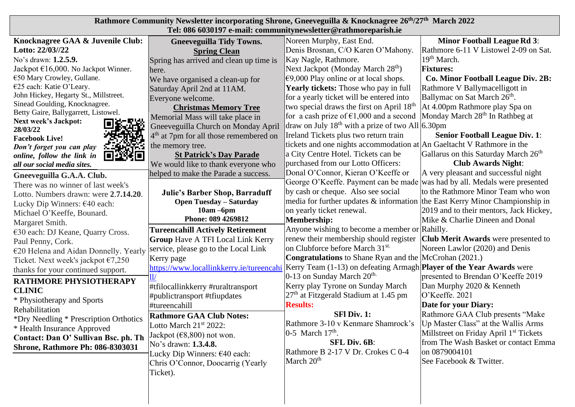| Rathmore Community Newsletter incorporating Shrone, Gneeveguilla & Knocknagree 26 <sup>th</sup> /27 <sup>th</sup> March 2022<br>Tel: 086 6030197 e-mail: communitynewsletter@rathmoreparish.ie |                                                    |                                                                                 |                                                    |  |
|------------------------------------------------------------------------------------------------------------------------------------------------------------------------------------------------|----------------------------------------------------|---------------------------------------------------------------------------------|----------------------------------------------------|--|
| Knocknagree GAA & Juvenile Club:                                                                                                                                                               | <b>Gneeveguilla Tidy Towns.</b>                    | Noreen Murphy, East End.                                                        | <b>Minor Football League Rd 3:</b>                 |  |
| Lotto: 22/03//22                                                                                                                                                                               | <b>Spring Clean</b>                                | Denis Brosnan, C/O Karen O'Mahony.                                              | Rathmore 6-11 V Listowel 2-09 on Sat.              |  |
| No's drawn: 1.2.5.9.                                                                                                                                                                           | Spring has arrived and clean up time is            | Kay Nagle, Rathmore.                                                            | 19 <sup>th</sup> March.                            |  |
| Jackpot $\epsilon$ 16,000. No Jackpot Winner.                                                                                                                                                  | here.                                              | Next Jackpot (Monday March 28 <sup>th</sup> )                                   | <b>Fixtures:</b>                                   |  |
| €50 Mary Crowley, Gullane.                                                                                                                                                                     | We have organised a clean-up for                   | $€9,000$ Play online or at local shops.                                         | <b>Co. Minor Football League Div. 2B:</b>          |  |
| €25 each: Katie O'Leary.                                                                                                                                                                       | Saturday April 2nd at 11AM.                        | <b>Yearly tickets:</b> Those who pay in full                                    | Rathmore V Ballymacelligott in                     |  |
| John Hickey, Hegarty St., Millstreet.                                                                                                                                                          | Everyone welcome.                                  | for a yearly ticket will be entered into                                        | Ballymac on Sat March 26 <sup>th</sup> .           |  |
| Sinead Goulding, Knocknagree.                                                                                                                                                                  | <b>Christmas Memory Tree</b>                       | two special draws the first on April 18 <sup>th</sup>                           | At 4.00pm Rathmore play Spa on                     |  |
| Betty Gaire, Ballygarrett, Listowel.                                                                                                                                                           | Memorial Mass will take place in                   | for a cash prize of $\epsilon$ 1,000 and a second                               | Monday March 28 <sup>th</sup> In Rathbeg at        |  |
| <b>Next week's Jackpot:</b><br>28/03/22                                                                                                                                                        | Gneeveguilla Church on Monday April                | draw on July $18th$ with a prize of two All 6.30pm                              |                                                    |  |
| <b>Facebook Live!</b>                                                                                                                                                                          | 4 <sup>th</sup> at 7pm for all those remembered on | Ireland Tickets plus two return train                                           | <b>Senior Football League Div. 1:</b>              |  |
| Don't forget you can play                                                                                                                                                                      | the memory tree.                                   | tickets and one nights accommodation at An Gaeltacht V Rathmore in the          |                                                    |  |
| 回答说回<br>online, follow the link in                                                                                                                                                             | <b>St Patrick's Day Parade</b>                     | a City Centre Hotel. Tickets can be                                             | Gallarus on this Saturday March 26 <sup>th</sup>   |  |
| all our social media sites.                                                                                                                                                                    | We would like to thank everyone who                | purchased from our Lotto Officers:                                              | <b>Club Awards Night:</b>                          |  |
| Gneeveguilla G.A.A. Club.                                                                                                                                                                      | helped to make the Parade a success.               | Donal O'Connor, Kieran O'Keeffe or                                              | A very pleasant and successful night               |  |
| There was no winner of last week's                                                                                                                                                             |                                                    | George O'Keeffe. Payment can be made was had by all. Medals were presented      |                                                    |  |
| Lotto. Numbers drawn: were 2.7.14.20.                                                                                                                                                          | <b>Julie's Barber Shop, Barraduff</b>              | by cash or cheque. Also see social                                              | to the Rathmore Minor Team who won                 |  |
| Lucky Dip Winners: €40 each:                                                                                                                                                                   | <b>Open Tuesday - Saturday</b>                     | media for further updates $\&$ information the East Kerry Minor Championship in |                                                    |  |
| Michael O'Keeffe, Bounard.                                                                                                                                                                     | $10am - 6pm$                                       | on yearly ticket renewal.                                                       | 2019 and to their mentors, Jack Hickey,            |  |
| Margaret Smith.                                                                                                                                                                                | Phone: 089 4269812                                 | Membership:                                                                     | Mike & Charlie Dineen and Donal                    |  |
| €30 each: DJ Keane, Quarry Cross.                                                                                                                                                              | <b>Tureencahill Actively Retirement</b>            | Anyone wishing to become a member or Rahilly.                                   |                                                    |  |
|                                                                                                                                                                                                |                                                    |                                                                                 |                                                    |  |
| Paul Penny, Cork.                                                                                                                                                                              | <b>Group Have A TFI Local Link Kerry</b>           | renew their membership should register                                          | <b>Club Merit Awards</b> were presented to         |  |
| €20 Helena and Aidan Donnelly. Yearly                                                                                                                                                          | service, please go to the Local Link               | on Clubforce before March 31 <sup>st.</sup>                                     | Noreen Lawlor (2020) and Denis                     |  |
| Ticket. Next week's jackpot $\epsilon$ 7,250                                                                                                                                                   | Kerry page                                         | <b>Congratulations</b> to Shane Ryan and the McCrohan (2021.)                   |                                                    |  |
| thanks for your continued support.                                                                                                                                                             | https://www.locallinkkerry.ie/tureencahi           | Kerry Team $(1-13)$ on defeating Armagh Player of the Year Awards were          |                                                    |  |
| RATHMORE PHYSIOTHERAPY                                                                                                                                                                         |                                                    | $0-13$ on Sunday March $20th$ .                                                 | presented to Brendan O'Keeffe 2019                 |  |
| <b>CLINIC</b>                                                                                                                                                                                  | #tfilocallinkkerry #ruraltransport                 | Kerry play Tyrone on Sunday March                                               | Dan Murphy 2020 & Kenneth                          |  |
| * Physiotherapy and Sports                                                                                                                                                                     | #publictransport #tfiupdates                       | $27th$ at Fitzgerald Stadium at 1.45 pm                                         | O'Keeffe. 2021                                     |  |
| Rehabilitation                                                                                                                                                                                 | #tureencahill                                      | <b>Results:</b>                                                                 | Date for your Diary:                               |  |
| *Dry Needling * Prescription Orthotics                                                                                                                                                         | <b>Rathmore GAA Club Notes:</b>                    | SFI Div. 1:                                                                     | Rathmore GAA Club presents "Make                   |  |
| * Health Insurance Approved                                                                                                                                                                    | Lotto March $21st 2022$ :                          | Rathmore 3-10 v Kenmare Shamrock's   Up Master Class" at the Wallis Arms        |                                                    |  |
| Contact: Dan O' Sullivan Bsc. ph. Th                                                                                                                                                           | Jackpot $(68, 800)$ not won.                       | $ 0-5$ March 17 <sup>th</sup> .                                                 | Millstreet on Friday April 1 <sup>st</sup> Tickets |  |
| <b>Shrone, Rathmore Ph: 086-8303031</b>                                                                                                                                                        | No's drawn: 1.3.4.8.                               | <b>SFL Div. 6B:</b>                                                             | from The Wash Basket or contact Emma               |  |
|                                                                                                                                                                                                | Lucky Dip Winners: $\epsilon$ 40 each:             | Rathmore B 2-17 V Dr. Crokes C 0-4                                              | on 0879004101                                      |  |
|                                                                                                                                                                                                | Chris O'Connor, Doocarrig (Yearly                  | March 20 <sup>th</sup>                                                          | See Facebook & Twitter.                            |  |
|                                                                                                                                                                                                | Ticket).                                           |                                                                                 |                                                    |  |
|                                                                                                                                                                                                |                                                    |                                                                                 |                                                    |  |